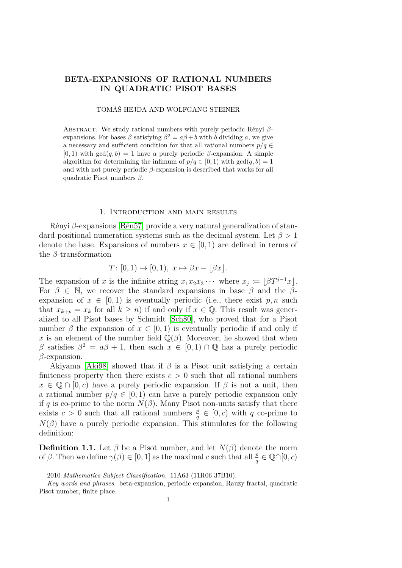# **BETA-EXPANSIONS OF RATIONAL NUMBERS IN QUADRATIC PISOT BASES**

### TOMÁŠ HEJDA AND WOLFGANG STEINER

Abstract. We study rational numbers with purely periodic Rényi *β*expansions. For bases  $\beta$  satisfying  $\beta^2 = a\beta + b$  with *b* dividing *a*, we give a necessary and sufficient condition for that all rational numbers  $p/q \in$  $[0,1)$  with  $gcd(q, b) = 1$  have a purely periodic *β*-expansion. A simple algorithm for determining the infimum of  $p/q \in [0, 1)$  with  $gcd(q, b) = 1$ and with not purely periodic  $\beta$ -expansion is described that works for all quadratic Pisot numbers *β*.

### 1. Introduction and main results

Rényi *β*-expansions [\[Rén57\]](#page-15-0) provide a very natural generalization of standard positional numeration systems such as the decimal system. Let *β >* 1 denote the base. Expansions of numbers  $x \in [0,1)$  are defined in terms of the *β*-transformation

$$
T: [0,1) \to [0,1), x \mapsto \beta x - \lfloor \beta x \rfloor.
$$

The expansion of *x* is the infinite string  $x_1x_2x_3 \cdots$  where  $x_j := \lfloor \beta T^{j-1}x \rfloor$ . For  $\beta \in \mathbb{N}$ , we recover the standard expansions in base  $\beta$  and the  $\beta$ expansion of  $x \in [0,1)$  is eventually periodic (i.e., there exist  $p, n$  such that  $x_{k+p} = x_k$  for all  $k \geq n$ ) if and only if  $x \in \mathbb{Q}$ . This result was generalized to all Pisot bases by Schmidt [\[Sch80\]](#page-15-1), who proved that for a Pisot number  $\beta$  the expansion of  $x \in [0,1)$  is eventually periodic if and only if *x* is an element of the number field  $\mathbb{Q}(\beta)$ . Moreover, he showed that when *β* satisfies  $β^2 = aβ + 1$ , then each  $x ∈ [0,1) ∩ Q$  has a purely periodic *β*-expansion.

Akiyama [\[Aki98\]](#page-14-0) showed that if  $\beta$  is a Pisot unit satisfying a certain finiteness property then there exists  $c > 0$  such that all rational numbers  $x \in \mathbb{Q} \cap [0, c)$  have a purely periodic expansion. If  $\beta$  is not a unit, then a rational number  $p/q \in [0,1)$  can have a purely periodic expansion only if *q* is co-prime to the norm  $N(\beta)$ . Many Pisot non-units satisfy that there exists  $c > 0$  such that all rational numbers  $\frac{p}{q} \in [0, c)$  with q co-prime to  $N(\beta)$  have a purely periodic expansion. This stimulates for the following definition:

<span id="page-0-0"></span>**Definition 1.1.** Let  $\beta$  be a Pisot number, and let  $N(\beta)$  denote the norm of  $\beta$ . Then we define  $\gamma(\beta) \in [0, 1]$  as the maximal *c* such that all  $\frac{p}{q} \in \mathbb{Q} \cap [0, c)$ 

<sup>2010</sup> *Mathematics Subject Classification.* 11A63 (11R06 37B10).

*Key words and phrases.* beta-expansion, periodic expansion, Rauzy fractal, quadratic Pisot number, finite place.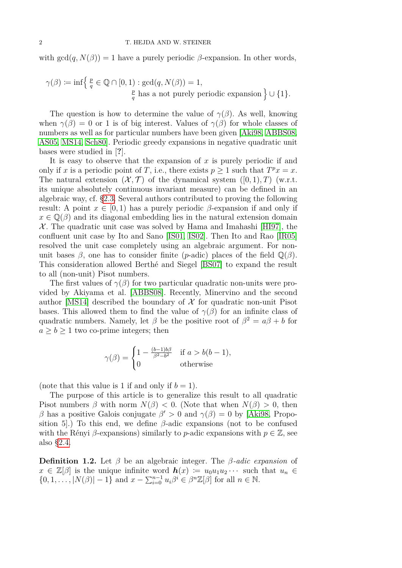with  $gcd(q, N(\beta)) = 1$  have a purely periodic  $\beta$ -expansion. In other words,

$$
\gamma(\beta) := \inf \left\{ \frac{p}{q} \in \mathbb{Q} \cap [0, 1) : \gcd(q, N(\beta)) = 1, \frac{p}{q} \text{ has a not purely periodic expansion} \right\} \cup \{1\}.
$$

The question is how to determine the value of  $\gamma(\beta)$ . As well, knowing when  $\gamma(\beta) = 0$  or 1 is of big interest. Values of  $\gamma(\beta)$  for whole classes of numbers as well as for particular numbers have been given [\[Aki98,](#page-14-0) [ABBS08,](#page-14-1) [AS05,](#page-14-2) [MS14,](#page-15-2) [Sch80\]](#page-15-1). Periodic greedy expansions in negative quadratic unit bases were studied in [**?**].

It is easy to observe that the expansion of *x* is purely periodic if and only if *x* is a periodic point of *T*, i.e., there exists  $p \ge 1$  such that  $T^p x = x$ . The natural extension  $(\mathcal{X}, \mathcal{T})$  of the dynamical system  $([0, 1), T)$  (w.r.t. its unique absolutely continuous invariant measure) can be defined in an algebraic way, cf. [§2.3.](#page-3-0) Several authors contributed to proving the following result: A point  $x \in [0, 1)$  has a purely periodic  $\beta$ -expansion if and only if  $x \in \mathbb{Q}(\beta)$  and its diagonal embedding lies in the natural extension domain  $X$ . The quadratic unit case was solved by Hama and Imahashi [\[HI97\]](#page-15-3), the confluent unit case by Ito and Sano [\[IS01,](#page-15-4) [IS02\]](#page-15-5). Then Ito and Rao [\[IR05\]](#page-15-6) resolved the unit case completely using an algebraic argument. For nonunit bases  $\beta$ , one has to consider finite (*p*-adic) places of the field  $\mathbb{Q}(\beta)$ . This consideration allowed Berthé and Siegel [\[BS07\]](#page-15-7) to expand the result to all (non-unit) Pisot numbers.

The first values of  $\gamma(\beta)$  for two particular quadratic non-units were provided by Akiyama et al. [\[ABBS08\]](#page-14-1). Recently, Minervino and the second author [\[MS14\]](#page-15-2) described the boundary of  $\mathcal X$  for quadratic non-unit Pisot bases. This allowed them to find the value of  $\gamma(\beta)$  for an infinite class of quadratic numbers. Namely, let  $\beta$  be the positive root of  $\beta^2 = a\beta + b$  for  $a \geq b \geq 1$  two co-prime integers; then

$$
\gamma(\beta) = \begin{cases} 1 - \frac{(b-1)b\beta}{\beta^2 - b^2} & \text{if } a > b(b-1), \\ 0 & \text{otherwise} \end{cases}
$$

(note that this value is 1 if and only if  $b = 1$ ).

The purpose of this article is to generalize this result to all quadratic Pisot numbers  $\beta$  with norm  $N(\beta) < 0$ . (Note that when  $N(\beta) > 0$ , then *β* has a positive Galois conjugate  $β' > 0$  and  $γ(β) = 0$  by [\[Aki98,](#page-14-0) Proposition 5. To this end, we define  $\beta$ -adic expansions (not to be confused with the Rényi  $\beta$ -expansions) similarly to *p*-adic expansions with  $p \in \mathbb{Z}$ , see also [§2.4.](#page-4-0)

<span id="page-1-0"></span>**Definition 1.2.** Let *β* be an algebraic integer. The *β-adic expansion* of  $x \in \mathbb{Z}[\beta]$  is the unique infinite word  $h(x) := u_0 u_1 u_2 \cdots$  such that  $u_n \in$  $\{0, 1, \ldots, |N(\beta)| - 1\}$  and  $x - \sum_{i=0}^{n-1} u_i \beta^i \in \beta^n \mathbb{Z}[\beta]$  for all  $n \in \mathbb{N}$ .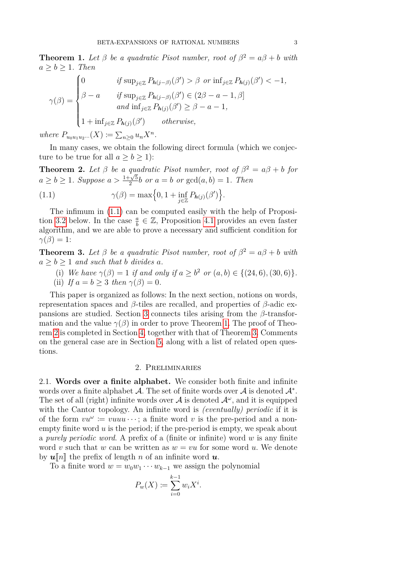<span id="page-2-1"></span>**Theorem 1.** Let  $\beta$  be a quadratic Pisot number, root of  $\beta^2 = a\beta + b$  with  $a \geq b \geq 1$ *. Then* 

$$
\gamma(\beta) = \begin{cases}\n0 & \text{if } \sup_{j \in \mathbb{Z}} P_{h(j-\beta)}(\beta') > \beta \text{ or } \inf_{j \in \mathbb{Z}} P_{h(j)}(\beta') < -1, \\
\beta - a & \text{if } \sup_{j \in \mathbb{Z}} P_{h(j-\beta)}(\beta') \in (2\beta - a - 1, \beta] \\
& \text{and } \inf_{j \in \mathbb{Z}} P_{h(j)}(\beta') \ge \beta - a - 1, \\
1 + \inf_{j \in \mathbb{Z}} P_{h(j)}(\beta') & \text{otherwise,} \n\end{cases}
$$

 $where$   $P_{u_0u_1u_2...}(X) := \sum_{n\geq 0} u_n X^n$ .

In many cases, we obtain the following direct formula (which we conjecture to be true for all  $a > b > 1$ :

<span id="page-2-2"></span>**Theorem 2.** Let  $\beta$  be a quadratic Pisot number, root of  $\beta^2 = a\beta + b$  for *a* ≥ *b* ≥ 1*. Suppose a* >  $\frac{1}{2}$  $\frac{2\sqrt{5}}{2}b$  *or*  $a = b$  *or*  $gcd(a, b) = 1$ *. Then* 

<span id="page-2-0"></span>(1.1) 
$$
\gamma(\beta) = \max\Big\{0, 1 + \inf_{j \in \mathbb{Z}} P_{h(j)}(\beta')\Big\}.
$$

The infimum in [\(1.1\)](#page-2-0) can be computed easily with the help of Proposi-tion [3.2](#page-8-0) below. In the case  $\frac{a}{b} \in \mathbb{Z}$ , Proposition [4.1](#page-9-0) provides an even faster algorithm, and we are able to prove a necessary and sufficient condition for  $\gamma(\beta) = 1$ :

<span id="page-2-3"></span>**Theorem 3.** Let  $\beta$  be a quadratic Pisot number, root of  $\beta^2 = a\beta + b$  with  $a \geq b \geq 1$  *and such that b divides a.* 

- (i) *We have*  $\gamma(\beta) = 1$  *if and only if*  $a \geq b^2$  *or*  $(a, b) \in \{(24, 6), (30, 6)\}.$
- (ii) *If*  $a = b > 3$  *then*  $\gamma(\beta) = 0$ *.*

This paper is organized as follows: In the next section, notions on words, representation spaces and *β*-tiles are recalled, and properties of *β*-adic expansions are studied. Section [3](#page-5-0) connects tiles arising from the *β*-transformation and the value  $\gamma(\beta)$  in order to prove Theorem [1.](#page-2-1) The proof of Theorem [2](#page-2-2) is completed in Section [4,](#page-8-1) together with that of Theorem [3.](#page-2-3) Comments on the general case are in Section [5,](#page-13-0) along with a list of related open questions.

### 2. Preliminaries

2.1. **Words over a finite alphabet.** We consider both finite and infinite words over a finite alphabet  $\mathcal A$ . The set of finite words over  $\mathcal A$  is denoted  $\mathcal A^*$ . The set of all (right) infinite words over  $A$  is denoted  $A^{\omega}$ , and it is equipped with the Cantor topology. An infinite word is *(eventually) periodic* if it is of the form  $vu^{\omega} \coloneqq vuuu \cdots$ ; a finite word v is the pre-period and a nonempty finite word *u* is the period; if the pre-period is empty, we speak about a *purely periodic word*. A prefix of a (finite or infinite) word *w* is any finite word *v* such that *w* can be written as  $w = vu$  for some word *u*. We denote by  $\boldsymbol{u}$   $[n]$  the prefix of length *n* of an infinite word  $\boldsymbol{u}$ .

To a finite word  $w = w_0w_1 \cdots w_{k-1}$  we assign the polynomial

$$
P_w(X) := \sum_{i=0}^{k-1} w_i X^i.
$$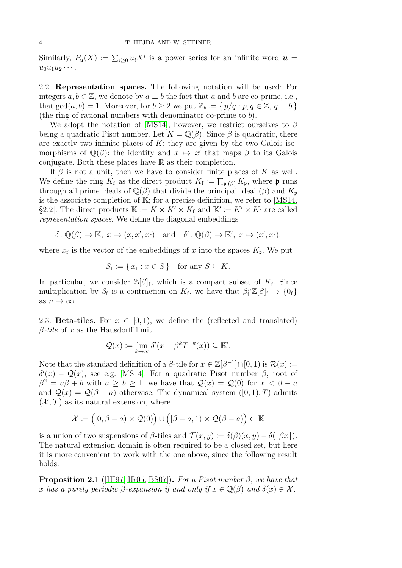Similarly,  $P_u(X) \coloneqq \sum_{i \geq 0} u_i X^i$  is a power series for an infinite word  $u =$  $u_0u_1u_2\cdots$ 

2.2. **Representation spaces.** The following notation will be used: For integers  $a, b \in \mathbb{Z}$ , we denote by  $a \perp b$  the fact that  $a$  and  $b$  are co-prime, i.e., that  $gcd(a, b) = 1$ . Moreover, for  $b \ge 2$  we put  $\mathbb{Z}_b := \{ p/q : p, q \in \mathbb{Z}, q \perp b \}$ (the ring of rational numbers with denominator co-prime to *b*).

We adopt the notation of [\[MS14\]](#page-15-2), however, we restrict ourselves to *β* being a quadratic Pisot number. Let  $K = \mathbb{Q}(\beta)$ . Since  $\beta$  is quadratic, there are exactly two infinite places of  $K$ ; they are given by the two Galois isomorphisms of  $\mathbb{Q}(\beta)$ : the identity and  $x \mapsto x'$  that maps  $\beta$  to its Galois conjugate. Both these places have  $\mathbb R$  as their completion.

If  $\beta$  is not a unit, then we have to consider finite places of *K* as well. We define the ring  $K_f$  as the direct product  $K_f := \prod_{\mathfrak{p} | (\beta)} K_{\mathfrak{p}}$ , where  $\mathfrak{p}$  runs through all prime ideals of  $\mathbb{Q}(\beta)$  that divide the principal ideal  $(\beta)$  and  $K_{\mathfrak{p}}$ is the associate completion of  $\mathbb{K}$ ; for a precise definition, we refer to [\[MS14,](#page-15-2) §2.2]. The direct products  $\mathbb{K} := K \times K' \times K_f$  and  $\mathbb{K}' := K' \times K_f$  are called *representation spaces*. We define the diagonal embeddings

$$
\delta: \mathbb{Q}(\beta) \to \mathbb{K}, \ x \mapsto (x, x', x_{\mathbf{f}}) \quad \text{and} \quad \delta': \mathbb{Q}(\beta) \to \mathbb{K}', \ x \mapsto (x', x_{\mathbf{f}}),
$$

where  $x_f$  is the vector of the embeddings of  $x$  into the spaces  $K_{\mathfrak{p}}$ . We put

$$
S_{\mathbf{f}} \coloneqq \overline{\{x_{\mathbf{f}} : x \in S\}} \quad \text{for any } S \subseteq K.
$$

In particular, we consider  $\mathbb{Z}[\beta]_f$ , which is a compact subset of  $K_f$ . Since multiplication by  $\beta_f$  is a contraction on  $K_f$ , we have that  $\beta_f^n \mathbb{Z}[\beta]_f \to \{0_f\}$ as  $n \to \infty$ .

<span id="page-3-0"></span>2.3. **Beta-tiles.** For  $x \in [0,1)$ , we define the (reflected and translated) *β-tile* of *x* as the Hausdorff limit

$$
\mathcal{Q}(x) := \lim_{k \to \infty} \delta'(x - \beta^k T^{-k}(x)) \subseteq \mathbb{K}'.
$$

Note that the standard definition of a  $\beta$ -tile for  $x \in \mathbb{Z}[\beta^{-1}] \cap [0,1)$  is  $\mathcal{R}(x) :=$  $δ'(x) - Q(x)$ , see e.g. [\[MS14\]](#page-15-2). For a quadratic Pisot number *β*, root of  $\beta^2 = a\beta + b$  with  $a \ge b \ge 1$ , we have that  $\mathcal{Q}(x) = \mathcal{Q}(0)$  for  $x < \beta - a$ and  $\mathcal{Q}(x) = \mathcal{Q}(\beta - a)$  otherwise. The dynamical system  $([0, 1), T)$  admits  $(X, \mathcal{T})$  as its natural extension, where

$$
\mathcal{X} := ([0, \beta - a) \times \mathcal{Q}(0)) \cup ([\beta - a, 1) \times \mathcal{Q}(\beta - a)] \subset \mathbb{K}
$$

is a union of two suspensions of  $\beta$ -tiles and  $\mathcal{T}(x, y) \coloneqq \delta(\beta)(x, y) - \delta(|\beta x|)$ . The natural extension domain is often required to be a closed set, but here it is more convenient to work with the one above, since the following result holds:

<span id="page-3-1"></span>**Proposition 2.1** ([\[HI97,](#page-15-3) [IR05,](#page-15-6) [BS07\]](#page-15-7)). For a Pisot number  $\beta$ , we have that *x* has a purely periodic  $\beta$ -expansion if and only if  $x \in \mathbb{Q}(\beta)$  and  $\delta(x) \in \mathcal{X}$ .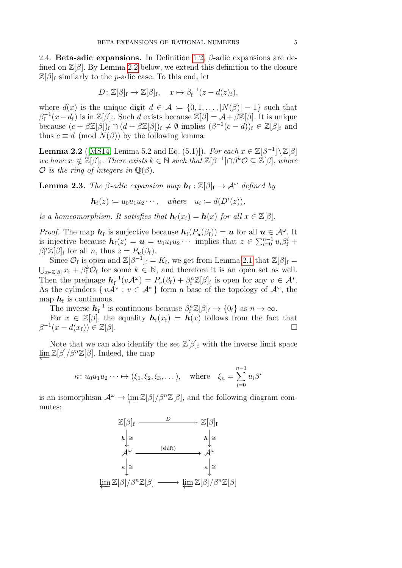<span id="page-4-0"></span>2.4. **Beta-adic expansions.** In Definition [1.2,](#page-1-0) *β*-adic expansions are defined on Z[*β*]. By Lemma [2.2](#page-4-1) below, we extend this definition to the closure  $\mathbb{Z}[\beta]_f$  similarly to the *p*-adic case. To this end, let

$$
D: \mathbb{Z}[\beta]_{\mathrm{f}} \to \mathbb{Z}[\beta]_{\mathrm{f}}, \quad x \mapsto \beta_{\mathrm{f}}^{-1}(z - d(z)_{\mathrm{f}}),
$$

where  $d(x)$  is the unique digit  $d \in \mathcal{A} := \{0, 1, \ldots, |N(\beta)| - 1\}$  such that  $\beta_f^{-1}(x-d_f)$  is in  $\mathbb{Z}[\beta]_f$ . Such *d* exists because  $\mathbb{Z}[\beta] = \mathcal{A} + \beta \mathbb{Z}[\beta]$ . It is unique because  $(c + \beta \mathbb{Z}[\beta])_f \cap (d + \beta \mathbb{Z}[\beta])_f \neq \emptyset$  implies  $(\beta^{-1}(c - d))_f \in \mathbb{Z}[\beta]_f$  and thus  $c \equiv d \pmod{N(\beta)}$  by the following lemma:

<span id="page-4-1"></span>**Lemma 2.2** ([\[MS14,](#page-15-2) Lemma 5.2 and Eq. (5.1)])**.** *For each*  $x \in \mathbb{Z}[\beta^{-1}]\setminus\mathbb{Z}[\beta]$  $we$  *have*  $x_f \notin \mathbb{Z}[\beta]_f$ *. There exists*  $k \in \mathbb{N}$  *such that*  $\mathbb{Z}[\beta^{-1}] \cap \beta^k \mathcal{O} \subseteq \mathbb{Z}[\beta]$ *, where*  $\mathcal O$  *is the ring of integers in*  $\mathbb Q(\beta)$ *.* 

**Lemma 2.3.** *The β*-adic expansion map  $h_f : \mathbb{Z}[\beta]_f \to \mathcal{A}^\omega$  defined by

$$
\mathbf{h}_f(z) \coloneqq u_0 u_1 u_2 \cdots, \quad \text{where} \quad u_i \coloneqq d(D^i(z)),
$$

*is a homeomorphism. It satisfies that*  $h_f(x_f) = h(x)$  *for all*  $x \in \mathbb{Z}[\beta]$ *.* 

*Proof.* The map  $h_f$  is surjective because  $h_f(P_u(\beta_f)) = u$  for all  $u \in A^\omega$ . It is injective because  $h_f(z) = u = u_0 u_1 u_2 \cdots$  implies that  $z \in \sum_{i=0}^{n-1} u_i \beta_f^i +$  $\beta_{\rm f}^n \mathbb{Z}[\beta]_{\rm f}$  for all *n*, thus  $z = P_u(\beta_{\rm f}).$ 

Since  $\mathcal{O}_f$  is open and  $\mathbb{Z}[\beta^{-1}]_f = K_f$ , we get from Lemma [2.1](#page-3-1) that  $\mathbb{Z}[\beta]_f =$  $\bigcup_{x \in \mathbb{Z}[\beta]} x_f + \beta_f^k \mathcal{O}_f$  for some  $k \in \mathbb{N}$ , and therefore it is an open set as well. Then the preimage  $h_f^{-1}(vA^{\omega}) = P_v(\beta_f) + \beta_f^n \mathbb{Z}[\beta]_f$  is open for any  $v \in A^*$ . As the cylinders  $\{ vA^{\omega} : v \in A^* \}$  form a base of the topology of  $A^{\omega}$ , the map  $h_{\rm f}$  is continuous.

The inverse  $h_f^{-1}$  is continuous because  $\beta_f^n \mathbb{Z}[\beta]_f \to \{0_f\}$  as  $n \to \infty$ .

For  $x \in \mathbb{Z}[\beta]$ , the equality  $h_f(x_f) = h(x)$  follows from the fact that  $\beta^{-1}(x - d(x_f)) \in \mathbb{Z}[\beta].$ 

Note that we can also identify the set  $\mathbb{Z}[\beta]_f$  with the inverse limit space  $\lim \mathbb{Z}[\beta]/\beta^n \mathbb{Z}[\beta]$ . Indeed, the map

$$
\kappa: u_0 u_1 u_2 \cdots \mapsto (\xi_1, \xi_2, \xi_3, \dots), \quad \text{where} \quad \xi_n = \sum_{i=0}^{n-1} u_i \beta^i
$$

is an isomorphism  $\mathcal{A}^{\omega} \to \lim \mathbb{Z}[\beta]/\beta^n \mathbb{Z}[\beta]$ , and the following diagram commutes:

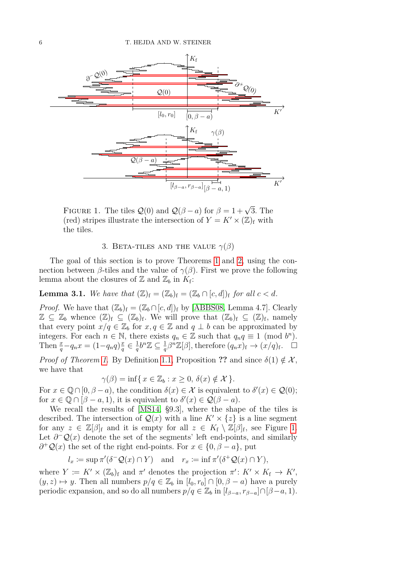

FIGURE 1. The tiles  $\mathcal{Q}(0)$  and  $\mathcal{Q}(\beta - a)$  for  $\beta = 1 + \sqrt{3}$ . The (red) stripes illustrate the intersection of  $Y = K' \times (\mathbb{Z})_f$  with the tiles.

# <span id="page-5-1"></span>3. BETA-TILES AND THE VALUE  $\gamma(\beta)$

<span id="page-5-0"></span>The goal of this section is to prove Theorems [1](#page-2-1) and [2,](#page-2-2) using the connection between *β*-tiles and the value of  $\gamma(\beta)$ . First we prove the following lemma about the closures of  $\mathbb{Z}$  and  $\mathbb{Z}_b$  in  $K_f$ :

<span id="page-5-2"></span>**Lemma 3.1.** We have that  $(\mathbb{Z})_f = (\mathbb{Z}_b)_f = (\mathbb{Z}_b \cap [c, d])_f$  for all  $c < d$ .

*Proof.* We have that  $(\mathbb{Z}_b)_{f} = (\mathbb{Z}_b \cap [c, d])_f$  by [\[ABBS08,](#page-14-1) Lemma 4.7]. Clearly  $\mathbb{Z} \subseteq \mathbb{Z}_b$  whence  $(\mathbb{Z})_f \subseteq (\mathbb{Z}_b)_f$ . We will prove that  $(\mathbb{Z}_b)_f \subseteq (\mathbb{Z})_f$ , namely that every point  $x/q \in \mathbb{Z}_b$  for  $x, q \in \mathbb{Z}$  and  $q \perp b$  can be approximated by integers. For each  $n \in \mathbb{N}$ , there exists  $q_n \in \mathbb{Z}$  such that  $q_n q \equiv 1 \pmod{b^n}$ . Then  $\frac{x}{q} - q_n x = (1 - q_n q)^{\frac{n}{q}}$  $\frac{x}{q} \in \frac{1}{q}$  $\frac{1}{q}b^n\mathbb{Z} \subseteq \frac{1}{q}$  $\frac{1}{q}\beta^{n}\mathbb{Z}[\beta]$ , therefore  $(q_{n}x)_{f} \rightarrow (x/q)_{f}$ .  $\Box$ 

*Proof of Theorem [1.](#page-2-1)* By Definition [1.1,](#page-0-0) Proposition ?? and since  $\delta(1) \notin \mathcal{X}$ , we have that

$$
\gamma(\beta) = \inf\{x \in \mathbb{Z}_b : x \ge 0, \, \delta(x) \notin \mathcal{X}\}.
$$

For  $x \in \mathbb{Q} \cap [0, \beta - a)$ , the condition  $\delta(x) \in \mathcal{X}$  is equivalent to  $\delta'(x) \in \mathcal{Q}(0)$ ; for  $x \in \mathbb{Q} \cap [\beta - a, 1]$ , it is equivalent to  $\delta'(x) \in \mathcal{Q}(\beta - a)$ .

We recall the results of [\[MS14,](#page-15-2) §9.3], where the shape of the tiles is described. The intersection of  $Q(x)$  with a line  $K' \times \{z\}$  is a line segment for any  $z \in \mathbb{Z}[\beta]_f$  and it is empty for all  $z \in K_f \setminus \mathbb{Z}[\beta]_f$ , see Figure [1.](#page-5-1) Let  $\partial$ <sup>-</sup>Q(*x*) denote the set of the segments' left end-points, and similarly  $\partial^+ \mathcal{Q}(x)$  the set of the right end-points. For  $x \in \{0, \beta - a\}$ , put

$$
l_x := \sup \pi'(\delta^- \mathcal{Q}(x) \cap Y)
$$
 and  $r_x := \inf \pi'(\delta^+ \mathcal{Q}(x) \cap Y)$ ,

where  $Y := K' \times (\mathbb{Z}_b)$ <sub>f</sub> and  $\pi'$  denotes the projection  $\pi' : K' \times K_f \to K'$ ,  $(y, z) \mapsto y$ . Then all numbers  $p/q \in \mathbb{Z}_b$  in  $[l_0, r_0] \cap [0, \beta - a)$  have a purely periodic expansion, and so do all numbers  $p/q \in \mathbb{Z}_b$  in  $[l_{\beta-a}, r_{\beta-a}] \cap [\beta-a, 1)$ .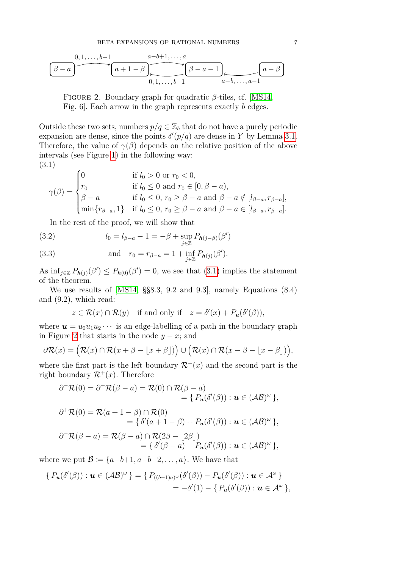$$
\underbrace{\begin{array}{c} 0,1,\ldots,b-1 \\ \hline \beta-a \end{array}}_{\text{0,1,\ldots,b-1}} \xrightarrow{a-b+1,\ldots,a} \underbrace{\begin{array}{c} a-b+1,\ldots,a \\ \hline \beta-a-1 \end{array}}_{\text{0,1,\ldots,b-1}} \underbrace{\begin{array}{c} a-\beta \\ \hline \alpha-b,\ldots,a-1 \end{array}}
$$

<span id="page-6-1"></span>Figure 2. Boundary graph for quadratic *β*-tiles, cf. [\[MS14,](#page-15-2) Fig. 6]. Each arrow in the graph represents exactly *b* edges.

Outside these two sets, numbers  $p/q \in \mathbb{Z}_b$  that do not have a purely periodic expansion are dense, since the points  $\delta'(p/q)$  are dense in *Y* by Lemma [3.1.](#page-5-2) Therefore, the value of  $\gamma(\beta)$  depends on the relative position of the above intervals (see Figure [1\)](#page-5-1) in the following way: (3.1)

<span id="page-6-0"></span>
$$
\gamma(\beta) = \begin{cases}\n0 & \text{if } l_0 > 0 \text{ or } r_0 < 0, \\
r_0 & \text{if } l_0 \le 0 \text{ and } r_0 \in [0, \beta - a), \\
\beta - a & \text{if } l_0 \le 0, r_0 \ge \beta - a \text{ and } \beta - a \notin [l_{\beta - a}, r_{\beta - a}], \\
\min\{r_{\beta - a}, 1\} & \text{if } l_0 \le 0, r_0 \ge \beta - a \text{ and } \beta - a \in [l_{\beta - a}, r_{\beta - a}].\n\end{cases}
$$

In the rest of the proof, we will show that

<span id="page-6-2"></span>(3.2) 
$$
l_0 = l_{\beta-a} - 1 = -\beta + \sup_{j \in \mathbb{Z}} P_{h(j-\beta)}(\beta')
$$
  
(3.3) and 
$$
r_0 = r_{\beta-a} = 1 + \inf_{j \in \mathbb{Z}} P_{h(j)}(\beta').
$$

As  $\inf_{j\in\mathbb{Z}} P_{h(j)}(\beta') \leq P_{h(0)}(\beta') = 0$ , we see that [\(3.1\)](#page-6-0) implies the statement of the theorem.

We use results of [\[MS14,](#page-15-2) §§8.3, 9.2 and 9.3], namely Equations (8.4) and (9.2), which read:

$$
z \in \mathcal{R}(x) \cap \mathcal{R}(y) \quad \text{if and only if} \quad z = \delta'(x) + P_u(\delta'(\beta)),
$$

where  $u = u_0 u_1 u_2 \cdots$  is an edge-labelling of a path in the boundary graph in Figure [2](#page-6-1) that starts in the node  $y - x$ ; and

$$
\partial \mathcal{R}(x) = (\mathcal{R}(x) \cap \mathcal{R}(x + \beta - \lfloor x + \beta \rfloor)) \cup (\mathcal{R}(x) \cap \mathcal{R}(x - \beta - \lfloor x - \beta \rfloor)),
$$

where the first part is the left boundary  $\mathcal{R}^{-}(x)$  and the second part is the right boundary  $\mathcal{R}^+(x)$ . Therefore

$$
\partial^{-}\mathcal{R}(0) = \partial^{+}\mathcal{R}(\beta - a) = \mathcal{R}(0) \cap \mathcal{R}(\beta - a)
$$
  
\n
$$
= \{ P_{u}(\delta'(\beta)) : u \in (\mathcal{AB})^{\omega} \},
$$
  
\n
$$
\partial^{+}\mathcal{R}(0) = \mathcal{R}(a + 1 - \beta) \cap \mathcal{R}(0)
$$
  
\n
$$
= \{ \delta'(a + 1 - \beta) + P_{u}(\delta'(\beta)) : u \in (\mathcal{AB})^{\omega} \},
$$
  
\n
$$
\partial^{-}\mathcal{R}(\beta - a) = \mathcal{R}(\beta - a) \cap \mathcal{R}(2\beta - \lfloor 2\beta \rfloor)
$$
  
\n
$$
= \{ \delta'(\beta - a) + P_{u}(\delta'(\beta)) : u \in (\mathcal{AB})^{\omega} \},
$$

where we put  $\mathcal{B} \coloneqq \{a-b+1, a-b+2, \ldots, a\}$ . We have that

$$
\{P_{\boldsymbol{u}}(\delta'(\beta)) : \boldsymbol{u} \in (\mathcal{AB})^{\omega}\} = \{P_{((b-1)a)^{\omega}}(\delta'(\beta)) - P_{\boldsymbol{u}}(\delta'(\beta)) : \boldsymbol{u} \in \mathcal{A}^{\omega}\}\
$$
  
=  $-\delta'(1) - \{P_{\boldsymbol{u}}(\delta'(\beta)) : \boldsymbol{u} \in \mathcal{A}^{\omega}\},$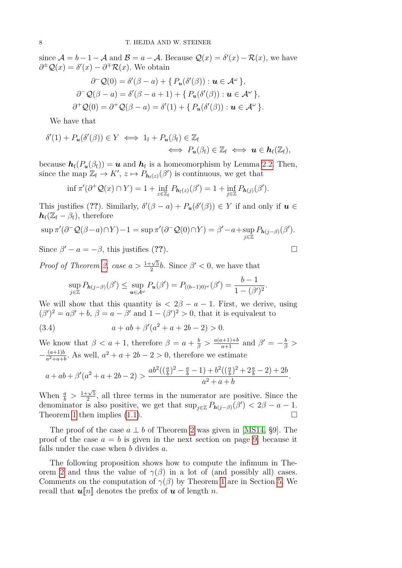since  $A = b - 1 - A$  and  $B = a - A$ . Because  $\mathcal{Q}(x) = \delta'(x) - \mathcal{R}(x)$ , we have  $\partial^{\pm} \mathcal{Q}(x) = \delta'(x) - \partial^{\mp} \mathcal{R}(x)$ . We obtain

$$
\partial^{-} Q(0) = \delta'(\beta - a) + \{ P_{u}(\delta'(\beta)) : u \in A^{\omega} \},
$$
  

$$
\partial^{-} Q(\beta - a) = \delta'(\beta - a + 1) + \{ P_{u}(\delta'(\beta)) : u \in A^{\omega} \},
$$
  

$$
\partial^{+} Q(0) = \partial^{+} Q(\beta - a) = \delta'(1) + \{ P_{u}(\delta'(\beta)) : u \in A^{\omega} \}.
$$

We have that

$$
\delta'(1) + P_{\mathbf{u}}(\delta'(\beta)) \in Y \iff 1_f + P_{\mathbf{u}}(\beta_f) \in \mathbb{Z}_f \iff \mathbf{u} \in \mathbf{h}_f(\mathbb{Z}_f),
$$
  

$$
\iff P_{\mathbf{u}}(\beta_f) \in \mathbb{Z}_f \iff \mathbf{u} \in \mathbf{h}_f(\mathbb{Z}_f),
$$

because  $h_f(P_u(\beta_f)) = u$  and  $h_f$  is a homeomorphism by Lemma [2.2.](#page-4-1) Then, since the map  $\mathbb{Z}_{f} \to K'$ ,  $z \mapsto P_{h_{f}(z)}(\beta')$  is continuous, we get that

$$
\inf \pi'(\partial^+ \mathcal{Q}(x) \cap Y) = 1 + \inf_{z \in \mathbb{Z}_{\mathrm{f}}} P_{\mathbf{h}_{\mathrm{f}}(z)}(\beta') = 1 + \inf_{j \in \mathbb{Z}} P_{\mathbf{h}(j)}(\beta').
$$

This justifies (??). Similarly,  $\delta'(\beta - a) + P_u(\delta'(\beta)) \in Y$  if and only if  $u \in$  $h_f(\mathbb{Z}_f - \beta_f)$ , therefore

$$
\sup \pi'(\partial^- \mathcal{Q}(\beta - a) \cap Y) - 1 = \sup \pi'(\partial^- \mathcal{Q}(0) \cap Y) = \beta' - a + \sup_{j \in \mathbb{Z}} P_{h(j-\beta)}(\beta').
$$

Since  $\beta' - a = -\beta$ , this justifies (??).

*Proof of Theorem [2,](#page-2-2) case*  $a > \frac{1+\sqrt{5}}{2}$  $\frac{2\sqrt{5}}{2}b$ . Since  $\beta' < 0$ , we have that

<span id="page-7-0"></span>
$$
\sup_{j\in\mathbb{Z}} P_{\mathbf{h}(j-\beta)}(\beta') \leq \sup_{\mathbf{u}\in\mathcal{A}^{\omega}} P_{\mathbf{u}}(\beta') = P_{((b-1)0)^{\omega}}(\beta') = \frac{b-1}{1-(\beta')^2}.
$$

We will show that this quantity is  $\langle 2\beta - a - 1 \rangle$ . First, we derive, using  $(\beta')^2 = a\beta' + b, \ \beta = a - \beta' \text{ and } 1 - (\beta')^2 > 0, \text{ that it is equivalent to }$ 

(3.4) 
$$
a + ab + \beta'(a^2 + a + 2b - 2) > 0.
$$

We know that  $\beta < a + 1$ , therefore  $\beta = a + \frac{b}{\beta} > \frac{a(a+1)+b}{a+1}$  and  $\beta' = -\frac{b}{\beta} > \frac{a^2}{a+1}$  $-\frac{(a+1)b}{a^2+a+b}$  $\frac{(a+1)b}{a^2+a+b}$ . As well,  $a^2 + a + 2b - 2 > 0$ , therefore we estimate

$$
a + ab + \beta'(a^2 + a + 2b - 2) > \frac{ab^2\left(\left(\frac{a}{b}\right)^2 - \frac{a}{b} - 1\right) + b^2\left(\left(\frac{a}{b}\right)^2 + 2\frac{a}{b} - 2\right) + 2b}{a^2 + a + b}.
$$

When  $\frac{a}{b} > \frac{1+\sqrt{5}}{2}$  $\frac{2}{2}$ , all three terms in the numerator are positive. Since the denominator is also positive, we get that  $\sup_{j\in\mathbb{Z}} P_{h(j-\beta)}(\beta') < 2\beta - a - 1$ . Theorem [1](#page-2-1) then implies [\(1.1\)](#page-2-0).

The proof of the case  $a \perp b$  of Theorem [2](#page-2-2) was given in [\[MS14,](#page-15-2) §9]. The proof of the case  $a = b$  is given in the next section on page [9,](#page-11-0) because it falls under the case when *b* divides *a*.

The following proposition shows how to compute the infimum in The-orem [2](#page-2-2) and thus the value of  $\gamma(\beta)$  in a lot of (and possibly all) cases. Comments on the computation of  $\gamma(\beta)$  by Theorem [1](#page-2-1) are in Section [5.](#page-13-0) We recall that  $\mathbf{u}[\![n]\!]$  denotes the prefix of  $\mathbf{u}$  of length *n*.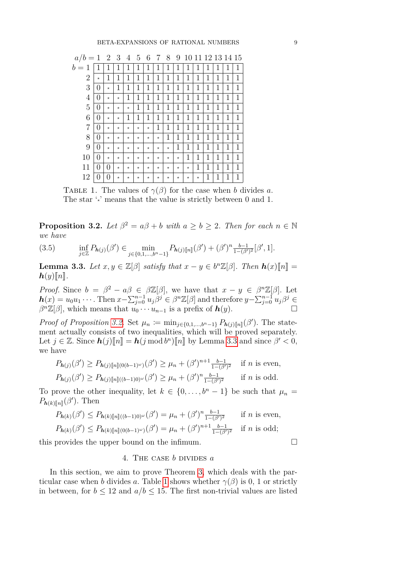| $a/b=1$ |                  | $\overline{2}$ | -3         | $\overline{4}$ | $\overline{5}$ | 6       | 7          | 8          | 9          |         |              | 10 11 12 13 14 15 |   |   |   |
|---------|------------------|----------------|------------|----------------|----------------|---------|------------|------------|------------|---------|--------------|-------------------|---|---|---|
| $b=1$   | 1                | 1              | 1          | 1              | 1              | 1       | 1          | 1          | 1          | 1       | 1            | 1                 | 1 | 1 | 1 |
| 2       | $\star$          | 1              | 1          | 1              | 1              | 1       | 1          | 1          | 1          | 1       | 1            | 1                 | 1 | 1 | 1 |
| 3       | 0                | $\star$        | 1          | 1              | 1              | 1       | 1          | 1          | 1          | 1       | 1            | 1                 | 1 | 1 | 1 |
| 4       | 0                | $^{\star}$     | $^{\star}$ | 1              | 1              | 1       | 1          | 1          | 1          | 1       | $\mathbf{1}$ | 1                 | 1 | 1 | 1 |
| 5       | 0                | $\star$        | $\star$    | $\star$        | 1              | 1       | 1          | 1          | 1          | 1       | 1            | 1                 | 1 | 1 | 1 |
| 6       | 0                | $^{\star}$     | $^{\star}$ | 1              | 1              | 1       | 1          | 1          | 1          | 1       | $\mathbf{1}$ | 1                 | 1 | 1 | 1 |
| 7       | $\mathcal{O}$    | $\star$        | $\star$    | $^{\star}$     | $\star$        | $\star$ | 1          | 1          | 1          | 1       | $\mathbf{1}$ | 1                 | 1 | 1 | 1 |
| 8       | 0                | $\star$        | $\star$    | $^{\star}$     | $\star$        | $\star$ | $^{\star}$ | 1          | 1          | 1       | 1            | 1                 | 1 | 1 | 1 |
| 9       | 0                | $^{\star}$     | $^{\star}$ | $^{\star}$     | $\star$        | $\star$ | $^{\star}$ | $^{\star}$ | 1          | 1       | $\mathbf{1}$ | 1                 | 1 | 1 | 1 |
| 10      | 0                | $\star$        | $\star$    | $^{\star}$     | $\star$        | $\star$ | $\star$    | $\star$    | $\star$    | 1       | 1            | 1                 | 1 | 1 | 1 |
| 11      | 0                | 0              | $\star$    | $^{\star}$     | $\star$        | $\star$ | $\star$    | $^{\star}$ | $\star$    | $\star$ | 1            | 1                 | 1 | 1 | 1 |
| 12      | $\left( \right)$ | 0              | $^{\star}$ | $^{\star}$     | $\star$        | $\star$ | $^{\star}$ | $\star$    | $^{\star}$ | $\star$ | $\star$      | 1                 | 1 | 1 | 1 |

<span id="page-8-3"></span>TABLE 1. The values of  $\gamma(\beta)$  for the case when *b* divides *a*. The star '<sup>\*</sup>' means that the value is strictly between 0 and 1.

<span id="page-8-0"></span>**Proposition 3.2.** *Let*  $\beta^2 = a\beta + b$  *with*  $a \ge b \ge 2$ *. Then for each*  $n \in \mathbb{N}$ *we have*

$$
(3.5) \quad \inf_{j\in\mathbb{Z}} P_{\mathbf{h}(j)}(\beta') \in \min_{j\in\{0,1,\ldots,b^n-1\}} P_{\mathbf{h}(j)[n]}(\beta') + (\beta')^n \frac{b-1}{1-(\beta')^2} [\beta',1].
$$

<span id="page-8-2"></span>**Lemma 3.3.** *Let*  $x, y \in \mathbb{Z}[\beta]$  *satisfy that*  $x - y \in b^n\mathbb{Z}[\beta]$ *. Then*  $h(x)[n] =$ <br> $h(x)[n]$  $h(y)$ *n*.

*Proof.* Since  $b = \beta^2 - a\beta \in \beta\mathbb{Z}[\beta]$ , we have that  $x - y \in \beta^n\mathbb{Z}[\beta]$ . Let  $h(x) = u_0 u_1 \cdots$ . Then  $x - \sum_{j=0}^{n-1} u_j \beta^j \in \beta^n \mathbb{Z}[\beta]$  and therefore  $y - \sum_{j=0}^{n-1} u_j \beta^j \in$  $\beta^{n}\mathbb{Z}[\beta]$ , which means that  $u_0 \cdots u_{n-1}$  is a prefix of  $h(y)$ .

*Proof of Proposition* [3.2.](#page-8-0) Set  $\mu_n := \min_{j \in \{0,1,\ldots,b^n-1\}} P_{\mathbf{h}(j)[n]}(\beta')$ . The statement actually consists of two inequalities, which will be proved separately. Let  $j \in \mathbb{Z}$ . Since  $h(j)[\![n]\!] = h(j \mod b^n)[\![n]\!]$  by Lemma [3.3](#page-8-2) and since  $\beta' < 0$ , we have we have

$$
P_{h(j)}(\beta') \ge P_{h(j)[n](0(b-1)^{\omega})}(\beta') \ge \mu_n + (\beta')^{n+1} \frac{b-1}{1-(\beta')^2} \quad \text{if } n \text{ is even,}
$$
  

$$
P_{h(j)}(\beta') \ge P_{h(j)[n](b-1)0^{\omega}}(\beta') \ge \mu_n + (\beta')^n \frac{b-1}{1-(\beta')^2} \quad \text{if } n \text{ is odd.}
$$

To prove the other inequality, let  $k \in \{0, \ldots, b^n - 1\}$  be such that  $\mu_n =$  $P_{\mathbf{h}(k)[n]}(\beta')$ . Then

$$
P_{h(k)}(\beta') \le P_{h(k)[n] \cup (b-1)0 \cup \omega}(\beta') = \mu_n + (\beta')^n \frac{b-1}{1-(\beta')^2} \quad \text{if } n \text{ is even,}
$$
  

$$
P_{h(k)}(\beta') \le P_{h(k)[n] \cup (b-1) \cup \omega}(\beta') = \mu_n + (\beta')^{n+1} \frac{b-1}{1-(\beta')^2} \quad \text{if } n \text{ is odd;}
$$

<span id="page-8-1"></span>this provides the upper bound on the infimum.

#### 4. The case *b* divides *a*

In this section, we aim to prove Theorem [3,](#page-2-3) which deals with the particular case when *b* divides *a*. Table [1](#page-8-3) shows whether  $\gamma(\beta)$  is 0, 1 or strictly in between, for  $b \le 12$  and  $a/b \le 15$ . The first non-trivial values are listed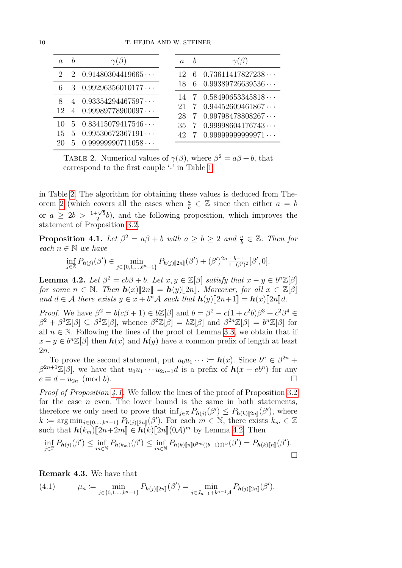| $\alpha$                    | $\gamma(\beta)$                                                                        | $\alpha$ | $\gamma(\beta)$                                                                               |
|-----------------------------|----------------------------------------------------------------------------------------|----------|-----------------------------------------------------------------------------------------------|
| $\mathcal{D}_{\mathcal{L}}$ | 2 $0.91480304419665$                                                                   |          | $6$ 0.73611417827238 $\cdots$                                                                 |
|                             | 3 $0.99296356010177$                                                                   |          | $6$ 0.99389726639536                                                                          |
| 8<br>12                     | $0.93354294467597\cdots$<br>$0.99989778900097\cdots$                                   | 28       | $14$ 7 0.58490653345818<br>$7 \quad 0.94452609461867 \cdots$<br>$7$ 0.99798478808267 $\cdots$ |
| 15                          | $5$ 0.83415079417546 $\cdots$<br>$5$ 0.99530672367191 $\cdots$<br>$5$ 0.99999990711058 | 35       | $7$ 0.99998604176743<br>$42\quad 7\quad 0.99999999999971\cdots$                               |

<span id="page-9-1"></span>TABLE 2. Numerical values of  $\gamma(\beta)$ , where  $\beta^2 = a\beta + b$ , that correspond to the first couple '*?*' in Table [1.](#page-8-3)

in Table [2.](#page-9-1) The algorithm for obtaining these values is deduced from The-orem [2](#page-2-2) (which covers all the cases when  $\frac{a}{b} \in \mathbb{Z}$  since then either  $a = b$ or  $a \geq 2b > \frac{1+\sqrt{5}}{2}$  $\frac{2}{2}$ , and the following proposition, which improves the statement of Proposition [3.2.](#page-8-0)

<span id="page-9-0"></span>**Proposition 4.1.** *Let*  $\beta^2 = a\beta + b$  *with*  $a \ge b \ge 2$  *and*  $\frac{a}{b} \in \mathbb{Z}$ *. Then for each*  $n ∈ ℕ$  *we have* 

$$
\inf_{j\in\mathbb{Z}} P_{\mathbf{h}(j)}(\beta') \in \min_{j\in\{0,1,\ldots,b^n-1\}} P_{\mathbf{h}(j)[2n]}(\beta') + (\beta')^{2n} \frac{b-1}{1-(\beta')^2} [\beta',0].
$$

<span id="page-9-2"></span>**Lemma 4.2.** Let  $\beta^2 = cb\beta + b$ . Let  $x, y \in \mathbb{Z}[\beta]$  *satisfy that*  $x - y \in b^n\mathbb{Z}[\beta]$ *for some*  $n \in \mathbb{N}$ . Then  $h(x)\llbracket 2n \rrbracket = h(y)\llbracket 2n \rrbracket$ . Moreover, for all  $x \in \mathbb{Z}[\beta]$ *and*  $d \in \mathcal{A}$  *there exists*  $y \in x + b^n \mathcal{A}$  *such that*  $h(y)[2n+1] = h(x)[2n]d$ *.* 

*Proof.* We have  $\beta^2 = b(c\beta + 1) \in b\mathbb{Z}[\beta]$  and  $b = \beta^2 - c(1 + c^2b)\beta^3 + c^2\beta^4 \in$  $\beta^2 + \beta^3 \mathbb{Z}[\beta] \subseteq \beta^2 \mathbb{Z}[\beta]$ , whence  $\beta^2 \mathbb{Z}[\beta] = b\mathbb{Z}[\beta]$  and  $\beta^{2n}\mathbb{Z}[\beta] = b^n \mathbb{Z}[\beta]$  for all  $n \in \mathbb{N}$ . Following the lines of the proof of Lemma [3.3,](#page-8-2) we obtain that if  $x - y \in b^n \mathbb{Z}[\beta]$  then  $h(x)$  and  $h(y)$  have a common prefix of length at least 2*n*.

To prove the second statement, put  $u_0u_1 \cdots = h(x)$ . Since  $b^n \in \beta^{2n}$  +  $\beta^{2n+1}\mathbb{Z}[\beta]$ , we have that  $u_0u_1 \cdots u_{2n-1}d$  is a prefix of  $h(x+eb^n)$  for any  $e \equiv d - u_{2n} \pmod{b}$ .

*Proof of Proposition [4.1.](#page-9-0)* We follow the lines of the proof of Proposition [3.2](#page-8-0) for the case *n* even. The lower bound is the same in both statements, therefore we only need to prove that  $\inf_{j\in\mathbb{Z}} P_{h(j)}(\beta') \leq P_{h(k)[2n]}(\beta')$ , where  $k \coloneqq \arg \min_{j \in \{0, \ldots, b^n-1\}} P_{h(j)[2n]}(\beta')$ . For each  $m \in \mathbb{N}$ , there exists  $k_m \in \mathbb{Z}$ such that  $h(k_m)\llbracket 2n+2m\rrbracket \in h(k)\llbracket 2n\rrbracket (0\mathcal{A})^m$  by Lemma [4.2.](#page-9-2) Then

$$
\inf_{j\in\mathbb{Z}} P_{\mathbf{h}(j)}(\beta') \leq \inf_{m\in\mathbb{N}} P_{\mathbf{h}(k_m)}(\beta') \leq \inf_{m\in\mathbb{N}} P_{\mathbf{h}(k)\llbracket n\rrbracket 0^{2m}((b-1)0)^{\omega}}(\beta') = P_{\mathbf{h}(k)\llbracket n\rrbracket}(\beta').
$$

<span id="page-9-4"></span>**Remark 4.3.** We have that

<span id="page-9-3"></span>(4.1) 
$$
\mu_n := \min_{j \in \{0, 1, \dots, b^n - 1\}} P_{h(j)[2n]}(\beta') = \min_{j \in J_{n-1} + b^{n-1} \mathcal{A}} P_{h(j)[2n]}(\beta'),
$$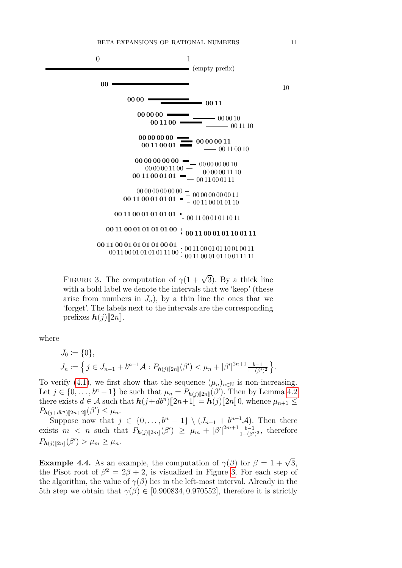

<span id="page-10-0"></span>FIGURE 3. The computation of  $\gamma(1+\sqrt{3})$ . By a thick line with a bold label we denote the intervals that we 'keep' (these arise from numbers in  $J_n$ ), by a thin line the ones that we 'forget'. The labels next to the intervals are the corresponding prefixes  $h(j)$ [2*n*].

where

$$
J_0 := \{0\},
$$
  
\n
$$
J_n := \left\{ j \in J_{n-1} + b^{n-1} \mathcal{A} : P_{h(j)[2n]}(\beta') < \mu_n + |\beta'|^{2n+1} \frac{b-1}{1-(\beta')^2} \right\}.
$$

To verify [\(4.1\)](#page-9-3), we first show that the sequence  $(\mu_n)_{n\in\mathbb{N}}$  is non-increasing. Let  $j \in \{0, \ldots, b^n - 1\}$  be such that  $\mu_n = P_{h(j)[2n]}(\beta')$ . Then by Lemma [4.2](#page-9-2) there exists  $d \in \mathcal{A}$  such that  $\mathbf{h}(j+db^n)[2n+1]\mathbf{h}(j)[2n]\mathbf{0}$ , whence  $\mu_{n+1} \leq \mathbf{h}(j)$ ,  $\mu_{n+1} \leq \mathbf{h}(j)$  $P_{h(j+db^n)[2n+2]}(\beta') \leq \mu_n.$ 

Suppose now that  $j \in \{0, \ldots, b^n-1\} \setminus (J_{n-1} + b^{n-1}A)$ . Then there exists  $m < n$  such that  $P_{h(j)}[2m](\beta') \geq \mu_m + |\beta'|^{2m+1} \frac{b-1}{1-(\beta')^2}$  $\frac{b-1}{1-(\beta')^2}$ , therefore  $P_{h(j)[2n]}(\beta') > \mu_m \geq \mu_n.$ 

<span id="page-10-1"></span>**Example 4.4.** As an example, the computation of  $\gamma(\beta)$  for  $\beta = 1 + \sqrt{3}$ , the Pisot root of  $\beta^2 = 2\beta + 2$ , is visualized in Figure [3.](#page-10-0) For each step of the algorithm, the value of  $\gamma(\beta)$  lies in the left-most interval. Already in the 5th step we obtain that  $\gamma(\beta) \in [0.900834, 0.970552]$ , therefore it is strictly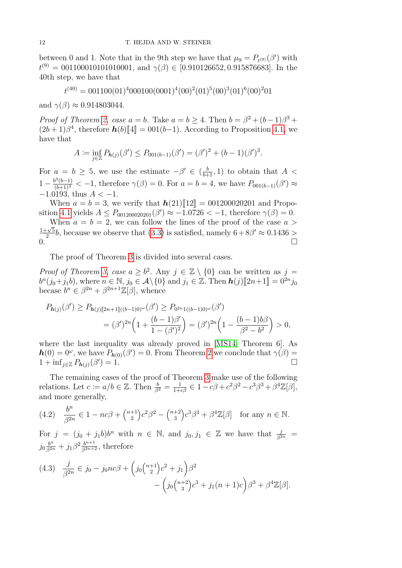between 0 and 1. Note that in the 9th step we have that  $\mu_9 = P_{t^{(9)}}(\beta')$  with  $t^{(9)} = 001100010101010001$ , and  $\gamma(\beta) \in [0.910126652, 0.915876683]$ . In the 40th step, we have that

$$
t^{(40)} = 001100(01)^4000100(0001)^4(00)^2(01)^5(00)^3(01)^6(00)^201
$$

and  $\gamma(\beta) \approx 0.914803044$ .

<span id="page-11-0"></span>*Proof of Theorem [2,](#page-2-2) case*  $a = b$ *. Take*  $a = b \ge 4$ *. Then*  $b = \beta^2 + (b-1)\beta^3 +$  $(2b+1)\beta^4$ , therefore  $h(b)\llbracket 4 \rrbracket = 001(b-1)$ . According to Proposition [4.1,](#page-9-0) we have that

$$
A := \inf_{j \in \mathbb{Z}} P_{h(j)}(\beta') \le P_{001(b-1)}(\beta') = (\beta')^2 + (b-1)(\beta')^3.
$$

For  $a = b \geq 5$ , we use the estimate  $-\beta' \in (\frac{b}{b+1}, 1)$  to obtain that  $A <$  $1 - \frac{b^3(b-1)}{(b+1)^3}$  < −1, therefore  $\gamma(\beta) = 0$ . For  $a = b = 4$ , we have  $P_{001(b-1)}(\beta') \approx$ −1*.*0193, thus *A <* −1.

When  $a = b = 3$ , we verify that  $h(21)\llbracket 12 \rrbracket = 0.01200020201$  and Propo-sition [4.1](#page-9-0) yields  $A \le P_{001200020201}(\beta') \approx -1.0726 < -1$ , therefore  $\gamma(\beta) = 0$ .

When  $a = b = 2$ , we can follow the lines of the proof of the case  $a >$  $1+\sqrt{5}$  $\frac{1}{2}$ , because we observe that [\(3.3\)](#page-6-2) is satisfied, namely  $6 + 8\beta' \approx 0.1436 >$  $0.$ 

The proof of Theorem [3](#page-2-3) is divided into several cases.

*Proof of Theorem [3,](#page-2-3) case*  $a \geq b^2$ . Any  $j \in \mathbb{Z} \setminus \{0\}$  can be written as  $j =$  $b^n(j_0+j_1b)$ , where  $n \in \mathbb{N}$ ,  $j_0 \in \mathcal{A} \setminus \{0\}$  and  $j_1 \in \mathbb{Z}$ . Then  $h(j)[2n+1] = 0^{2n}j_0$ <br>because  $b^n \in \mathbb{R}^{2n}$  +  $\mathbb{R}^{2n+1}\mathbb{Z}[\mathbb{R}]$  whence becase  $b^n \in \beta^{2n} + \beta^{2n+1}\mathbb{Z}[\beta]$ , whence

$$
P_{h(j)}(\beta') \ge P_{h(j)[2n+1]((b-1)0)^{\omega}}(\beta') \ge P_{0^{2n}1((b-1)0)^{\omega}}(\beta')
$$
  
=  $(\beta')^{2n} \left(1 + \frac{(b-1)\beta'}{1 - (\beta')^2}\right) = (\beta')^{2n} \left(1 - \frac{(b-1)b\beta}{\beta^2 - b^2}\right) > 0,$ 

where the last inequality was already proved in [\[MS14,](#page-15-2) Theorem 6]. As  $h(0) = 0^{\omega}$ , we have  $P_{h(0)}(\beta') = 0$ . From Theorem [2](#page-2-2) we conclude that  $\gamma(\beta) =$  $1 + \inf_{j \in \mathbb{Z}} P_{h(j)}(\beta)$  $) = 1.$ 

The remaining cases of the proof of Theorem [3](#page-2-3) make use of the following relations. Let  $c \coloneqq a/b \in \mathbb{Z}$ . Then  $\frac{b}{\beta^2} = \frac{1}{1+c\beta} \in 1 - c\beta + c^2\beta^2 - c^3\beta^3 + \beta^4\mathbb{Z}[\beta],$ and more generally,

<span id="page-11-2"></span>(4.2) 
$$
\frac{b^n}{\beta^{2n}} \in 1 - nc\beta + {n+1 \choose 2}c^2\beta^2 - {n+2 \choose 3}c^3\beta^3 + \beta^4 \mathbb{Z}[\beta] \text{ for any } n \in \mathbb{N}.
$$

For  $j = (j_0 + j_1b)b^n$  with  $n \in \mathbb{N}$ , and  $j_0, j_1 \in \mathbb{Z}$  we have that  $\frac{j}{\beta^{2n}} =$  $j_0 \frac{b^n}{\beta^{2n}} + j_1 \beta^2 \frac{b^{n+1}}{\beta^{2n+2}}$ , therefore

<span id="page-11-1"></span>
$$
(4.3) \quad \frac{j}{\beta^{2n}} \in j_0 - j_0nc\beta + \left(j_0\binom{n+1}{2}c^2 + j_1\right)\beta^2 - \left(j_0\binom{n+2}{3}c^3 + j_1(n+1)c\right)\beta^3 + \beta^4 \mathbb{Z}[\beta].
$$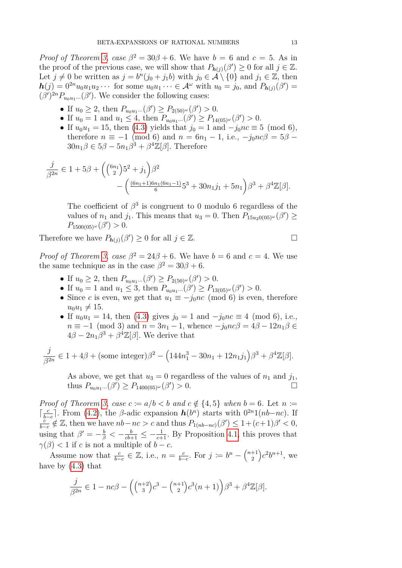*Proof of Theorem [3,](#page-2-3) case*  $\beta^2 = 30\beta + 6$ *.* We have  $b = 6$  and  $c = 5$ *.* As in the proof of the previous case, we will show that  $P_{h(j)}(\beta') \geq 0$  for all  $j \in \mathbb{Z}$ . Let  $j \neq 0$  be written as  $j = b^n(j_0 + j_1b)$  with  $j_0 \in \mathcal{A} \setminus \{0\}$  and  $j_1 \in \mathbb{Z}$ , then  $h(j) = 0^{2n} u_0 u_1 u_2 \cdots$  for some  $u_0 u_1 \cdots \in A^{\omega}$  with  $u_0 = j_0$ , and  $P_{h(j)}(\beta') =$  $(\beta')^{2n}P_{u_0u_1\cdots}(\beta')$ . We consider the following cases:

- If  $u_0 \geq 2$ , then  $P_{u_0u_1} \dots (\beta') \geq P_{2(50)\omega}(\beta') > 0$ .
- If  $u_0 = 1$  and  $u_1 \leq 4$ , then  $P_{u_0u_1}...\left(\beta'\right) \geq P_{14(05)\omega}(\beta') > 0$ .
- If  $u_0 u_1 = 15$ , then [\(4.3\)](#page-11-1) yields that  $j_0 = 1$  and  $-j_0 n c \equiv 5 \pmod{6}$ , therefore  $n \equiv -1 \pmod{6}$  and  $n = 6n_1 - 1$ , i.e.,  $-i_0nc\beta = 5\beta$  $30n_1\beta \in 5\beta - 5n_1\beta^3 + \beta^4\mathbb{Z}[\beta]$ . Therefore

$$
\frac{j}{\beta^{2n}} \in 1 + 5\beta + \left( {6n_1 \choose 2} 5^2 + j_1 \right) \beta^2 - \left( \frac{(6n_1 + 1)6n_1(6n_1 - 1)}{6} 5^3 + 30n_1 j_1 + 5n_1 \right) \beta^3 + \beta^4 \mathbb{Z}[\beta].
$$

The coefficient of  $\beta^3$  is congruent to 0 modulo 6 regardless of the values of  $n_1$  and  $j_1$ . This means that  $u_3 = 0$ . Then  $P_{15u_20(05)^\omega}(\beta') \ge$  $P_{1500(05)^{\omega}}(\beta') > 0.$ 

Therefore we have  $P_{h(j)}(\beta') \geq 0$  for all  $j \in \mathbb{Z}$ .

*Proof of Theorem [3,](#page-2-3) case*  $\beta^2 = 24\beta + 6$ . We have  $b = 6$  and  $c = 4$ . We use the same technique as in the case  $\beta^2 = 30\beta + 6$ .

- If  $u_0 \geq 2$ , then  $P_{u_0u_1} \dots (\beta') \geq P_{2(50)\omega}(\beta') > 0$ .
- If  $u_0 = 1$  and  $u_1 \leq 3$ , then  $P_{u_0u_1}...\left(\beta'\right) \geq P_{13(05)^{\omega}}(\beta') > 0$ .
- Since *c* is even, we get that  $u_1 \equiv -j_0nc \pmod{6}$  is even, therefore  $u_0 u_1 \neq 15$ .
- If  $u_0u_1 = 14$ , then [\(4.3\)](#page-11-1) gives  $j_0 = 1$  and  $-j_0nc \equiv 4 \pmod{6}$ , i.e.,  $n \equiv -1 \pmod{3}$  and  $n = 3n_1 - 1$ , whence  $-j_0nc\beta = 4\beta - 12n_1\beta \in$  $4\beta - 2n_1\beta^3 + \beta^4\mathbb{Z}[\beta]$ . We derive that

$$
\frac{j}{\beta^{2n}} \in 1 + 4\beta + (\text{some integer})\beta^2 - \left(144n_1^3 - 30n_1 + 12n_1j_1\right)\beta^3 + \beta^4 \mathbb{Z}[\beta].
$$

As above, we get that  $u_3 = 0$  regardless of the values of  $n_1$  and  $j_1$ , thus  $P_{u_0u_1} \dots (\beta') \ge P_{1400(05)^\omega}(\beta') > 0.$ 

*Proof of Theorem [3,](#page-2-3) case*  $c := a/b < b$  *and*  $c \notin \{4, 5\}$  *when*  $b = 6$ *.* Let  $n :=$  $\lceil \frac{c}{b} \rceil$  $\frac{c}{bc}$  *e.* **From** [\(4.2\)](#page-11-2), the *β*-adic expansion  $h(b^n)$  starts with  $0^{2n}1(nb-nc)$ . If *c*  $\frac{c}{b-c} \notin \mathbb{Z}$ , then we have  $nb - nc > c$  and thus  $P_{1(nb-nc)}(\beta') \leq 1 + (c+1)\beta' < 0$ , using that  $\beta' = -\frac{b}{\beta} < -\frac{b}{cb+1} \leq -\frac{1}{c+1}$ . By Proposition [4.1,](#page-9-0) this proves that  $\gamma(\beta)$  < 1 if *c* is not a multiple of *b* − *c*.

Assume now that  $\frac{c}{b-c} \in \mathbb{Z}$ , i.e.,  $n = \frac{c}{b-c}$  $\frac{c}{b-c}$ . For  $j := b^n - \binom{n+1}{2}$  $\binom{+1}{2}c^2b^{n+1}$ , we have by [\(4.3\)](#page-11-1) that

$$
\frac{j}{\beta^{2n}} \in 1 - nc\beta - \left( {n+2 \choose 3}c^3 - {n+1 \choose 2}c^3(n+1) \right) \beta^3 + \beta^4 \mathbb{Z}[\beta].
$$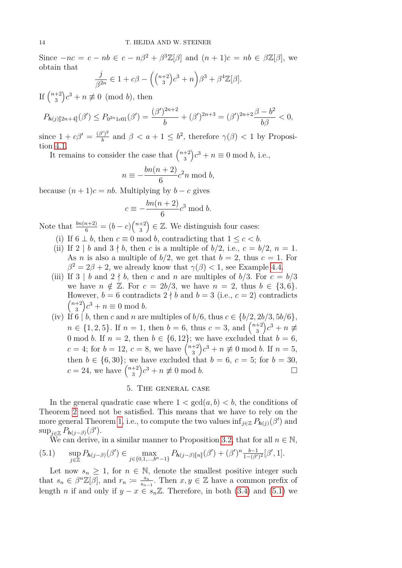Since  $-nc = c - nb \in c - n\beta^2 + \beta^3 \mathbb{Z}[\beta]$  and  $(n+1)c = nb \in \beta \mathbb{Z}[\beta]$ , we obtain that

$$
\frac{j}{\beta^{2n}} \in 1 + c\beta - \left( \binom{n+2}{3}c^3 + n \right) \beta^3 + \beta^4 \mathbb{Z}[\beta].
$$

If  $\binom{n+2}{3}$  $\binom{+2}{3}c^3 + n \not\equiv 0 \pmod{b}$ , then

$$
P_{h(j)[2n+4]}(\beta') \le P_{0^{2n}1c01}(\beta') = \frac{(\beta')^{2n+2}}{b} + (\beta')^{2n+3} = (\beta')^{2n+2}\frac{\beta-b^2}{b\beta} < 0,
$$

since  $1 + c\beta' = \frac{(\beta')^2}{b}$  $\frac{b}{b}$  and  $\beta < a + 1 \leq b^2$ , therefore  $\gamma(\beta) < 1$  by Proposition [4.1.](#page-9-0)

It remains to consider the case that  $\binom{n+2}{3}$  $f_3^{+2}$ ) $c^3 + n \equiv 0 \text{ mod } b$ , i.e.,

$$
n \equiv -\frac{bn(n+2)}{6}c^2n \bmod b,
$$

because  $(n+1)c = nb$ . Multiplying by  $b - c$  gives

$$
c \equiv -\frac{bn(n+2)}{6}c^3 \bmod b.
$$

Note that  $\frac{bn(n+2)}{6} = (b-c)\binom{n+2}{3}$  $\binom{+2}{3} \in \mathbb{Z}$ . We distinguish four cases:

- (i) If  $6 \perp b$ , then  $c \equiv 0 \mod b$ , contradicting that  $1 \leq c < b$ .
- (ii) If  $2 \mid b$  and  $3 \nmid b$ , then *c* is a multiple of  $b/2$ , i.e.,  $c = b/2$ ,  $n = 1$ . As *n* is also a multiple of  $b/2$ , we get that  $b = 2$ , thus  $c = 1$ . For  $\beta^2 = 2\beta + 2$ , we already know that  $\gamma(\beta) < 1$ , see Example [4.4.](#page-10-1)
- (iii) If  $3 \mid b$  and  $2 \nmid b$ , then c and n are multiples of  $b/3$ . For  $c = b/3$ we have  $n \notin \mathbb{Z}$ . For  $c = 2b/3$ , we have  $n = 2$ , thus  $b \in \{3, 6\}$ . However,  $b = 6$  contradicts  $2 \nmid b$  and  $b = 3$  (i.e.,  $c = 2$ ) contradicts  $(n+2)$  $\binom{+2}{3}c^3 + n \equiv 0 \text{ mod } b.$
- (iv) If 6 | *b*, then *c* and *n* are multiples of  $b/6$ , thus  $c \in \{b/2, 2b/3, 5b/6\}$ ,  $n \in \{1, 2, 5\}$ . If  $n = 1$ , then  $b = 6$ , thus  $c = 3$ , and  $\binom{n+2}{3}$  $\binom{+2}{3}c^3 + n \not\equiv$ 0 mod *b*. If  $n = 2$ , then  $b \in \{6, 12\}$ ; we have excluded that  $b = 6$ ,  $c = 4$ ; for  $b = 12, c = 8$ , we have  $\binom{n+2}{3}$  $\binom{+2}{3}c^3 + n \not\equiv 0 \mod b$ . If  $n = 5$ , then  $b \in \{6, 30\}$ ; we have excluded that  $b = 6, c = 5$ ; for  $b = 30$ ,  $c = 24$ , we have  $\binom{n+2}{3}$  $\binom{+2}{3}c^3 + n \not\equiv 0 \mod b.$

# 5. The general case

<span id="page-13-0"></span>In the general quadratic case where  $1 < \gcd(a, b) < b$ , the conditions of Theorem [2](#page-2-2) need not be satisfied. This means that we have to rely on the more general Theorem [1,](#page-2-1) i.e., to compute the two values  $\inf_{j\in\mathbb{Z}} P_{h(j)}(\beta')$  and  $\sup_{j\in\mathbb{Z}} P_{h(j-\beta)}(\beta').$ 

<span id="page-13-1"></span>We can derive, in a similar manner to Proposition [3.2,](#page-8-0) that for all  $n \in \mathbb{N}$ ,  $(5.1)$  $\sup_{j\in\mathbb{Z}} P_{\mathbf{h}(j-\beta)}(\beta') \in \max_{j\in\{0,1,\dots,b^{n}-1\}} P_{\mathbf{h}(j-\beta)[n]}(\beta') + (\beta')^{n} \frac{b-1}{1-(\beta')^{n}}$  $\frac{b-1}{1-(\beta')^2}[\beta', 1].$ 

Let now  $s_n \geq 1$ , for  $n \in \mathbb{N}$ , denote the smallest positive integer such that  $s_n \in \beta^n \mathbb{Z}[\beta]$ , and  $r_n \coloneqq \frac{s_n}{s_{n-1}}$  $\frac{s_n}{s_{n-1}}$ . Then *x, y* ∈ ℤ have a common prefix of length *n* if and only if  $y - x \in s_n \mathbb{Z}$ . Therefore, in both [\(3.4\)](#page-7-0) and [\(5.1\)](#page-13-1) we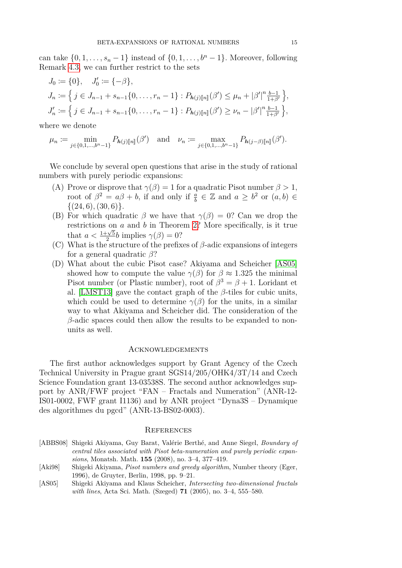can take  $\{0, 1, \ldots, s_n - 1\}$  instead of  $\{0, 1, \ldots, b^n - 1\}$ . Moreover, following Remark [4.3,](#page-9-4) we can further restrict to the sets

$$
J_0 := \{0\}, \quad J'_0 := \{-\beta\},
$$
  
\n
$$
J_n := \left\{ j \in J_{n-1} + s_{n-1}\{0, \dots, r_n - 1\} : P_{h(j)[n]}(\beta') \le \mu_n + |\beta'|^n \frac{b-1}{1+\beta'} \right\},
$$
  
\n
$$
J'_n := \left\{ j \in J_{n-1} + s_{n-1}\{0, \dots, r_n - 1\} : P_{h(j)[n]}(\beta') \ge \nu_n - |\beta'|^n \frac{b-1}{1+\beta'} \right\},
$$

where we denote

$$
\mu_n := \min_{j \in \{0, 1, \dots, b^n - 1\}} P_{\mathbf{h}(j) [\![n]\!]}(\beta') \quad \text{and} \quad \nu_n := \max_{j \in \{0, 1, \dots, b^n - 1\}} P_{\mathbf{h}(j-\beta) [\![n]\!]}(\beta').
$$

We conclude by several open questions that arise in the study of rational numbers with purely periodic expansions:

- (A) Prove or disprove that  $\gamma(\beta) = 1$  for a quadratic Pisot number  $\beta > 1$ , root of  $\beta^2 = a\beta + b$ , if and only if  $\frac{a}{b} \in \mathbb{Z}$  and  $a \geq b^2$  or  $(a, b) \in$  $\{(24,6), (30,6)\}.$
- (B) For which quadratic  $\beta$  we have that  $\gamma(\beta) = 0$ ? Can we drop the restrictions on *a* and *b* in Theorem [2?](#page-2-2) More specifically, is it true that  $a < \frac{1+\sqrt{5}}{2}$  $\frac{\gamma}{2}b$  implies  $\gamma(\beta) = 0$ ?
- (C) What is the structure of the prefixes of *β*-adic expansions of integers for a general quadratic *β*?
- (D) What about the cubic Pisot case? Akiyama and Scheicher [\[AS05\]](#page-14-2) showed how to compute the value  $\gamma(\beta)$  for  $\beta \approx 1.325$  the minimal Pisot number (or Plastic number), root of  $\beta^3 = \beta + 1$ . Loridant et al. [\[LMST13\]](#page-15-8) gave the contact graph of the *β*-tiles for cubic units, which could be used to determine  $\gamma(\beta)$  for the units, in a similar way to what Akiyama and Scheicher did. The consideration of the *β*-adic spaces could then allow the results to be expanded to nonunits as well.

### Acknowledgements

The first author acknowledges support by Grant Agency of the Czech Technical University in Prague grant SGS14/205/OHK4/3T/14 and Czech Science Foundation grant 13-03538S. The second author acknowledges support by ANR/FWF project "FAN – Fractals and Numeration" (ANR-12- IS01-0002, FWF grant I1136) and by ANR project "Dyna3S – Dynamique des algorithmes du pgcd" (ANR-13-BS02-0003).

#### **REFERENCES**

<span id="page-14-1"></span>

| [ABBS08] Shigeki Akiyama, Guy Barat, Valérie Berthé, and Anne Siegel, <i>Boundary of</i> |
|------------------------------------------------------------------------------------------|
| central tiles associated with Pisot beta-numeration and purely periodic expan-           |
| <i>sions</i> , Monatsh. Math. $155$ (2008), no. 3-4, 377-419.                            |

- <span id="page-14-0"></span>[Aki98] Shigeki Akiyama, *Pisot numbers and greedy algorithm*, Number theory (Eger, 1996), de Gruyter, Berlin, 1998, pp. 9–21.
- <span id="page-14-2"></span>[AS05] Shigeki Akiyama and Klaus Scheicher, *Intersecting two-dimensional fractals with lines*, Acta Sci. Math. (Szeged) **71** (2005), no. 3–4, 555–580.